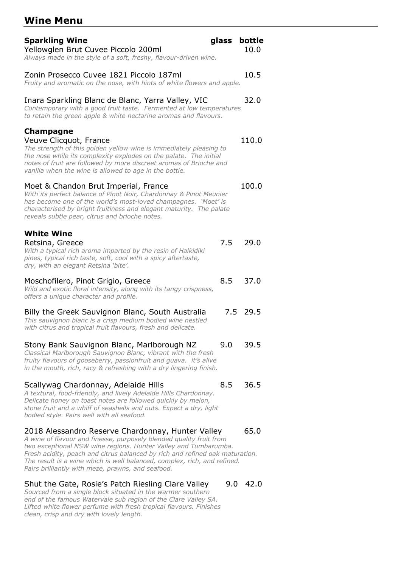# **Wine Menu**

| <b>Sparkling Wine</b><br>Yellowglen Brut Cuvee Piccolo 200ml<br>Always made in the style of a soft, freshy, flavour-driven wine.                                                                                                                                                                                                                                                                             | glass | bottle<br>10.0 |
|--------------------------------------------------------------------------------------------------------------------------------------------------------------------------------------------------------------------------------------------------------------------------------------------------------------------------------------------------------------------------------------------------------------|-------|----------------|
| Zonin Prosecco Cuvee 1821 Piccolo 187ml<br>Fruity and aromatic on the nose, with hints of white flowers and apple.                                                                                                                                                                                                                                                                                           |       | 10.5           |
| Inara Sparkling Blanc de Blanc, Yarra Valley, VIC<br>Contemporary with a good fruit taste. Fermented at low temperatures<br>to retain the green apple & white nectarine aromas and flavours.                                                                                                                                                                                                                 |       | 32.0           |
| Champagne<br>Veuve Clicquot, France<br>The strength of this golden yellow wine is immediately pleasing to<br>the nose while its complexity explodes on the palate. The initial<br>notes of fruit are followed by more discreet aromas of Brioche and<br>vanilla when the wine is allowed to age in the bottle.                                                                                               |       | 110.0          |
| Moet & Chandon Brut Imperial, France<br>With its perfect balance of Pinot Noir, Chardonnay & Pinot Meunier<br>has become one of the world's most-loved champagnes. 'Moet' is<br>characterised by bright fruitiness and elegant maturity. The palate<br>reveals subtle pear, citrus and brioche notes.                                                                                                        |       | 100.0          |
| <b>White Wine</b><br>Retsina, Greece<br>With a typical rich aroma imparted by the resin of Halkidiki<br>pines, typical rich taste, soft, cool with a spicy aftertaste,<br>dry, with an elegant Retsina 'bite'.                                                                                                                                                                                               | 7.5   | 29.0           |
| Moschofilero, Pinot Grigio, Greece<br>Wild and exotic floral intensity, along with its tangy crispness,<br>offers a unique character and profile.                                                                                                                                                                                                                                                            | 8.5   | 37.0           |
| Billy the Greek Sauvignon Blanc, South Australia<br>This sauvignon blanc is a crisp medium bodied wine nestled<br>with citrus and tropical fruit flavours, fresh and delicate.                                                                                                                                                                                                                               |       | 7.5 29.5       |
| Stony Bank Sauvignon Blanc, Marlborough NZ<br>Classical Marlborough Sauvignon Blanc, vibrant with the fresh<br>fruity flavours of gooseberry, passionfruit and guava. it's alive<br>in the mouth, rich, racy & refreshing with a dry lingering finish.                                                                                                                                                       | 9.0   | 39.5           |
| Scallywag Chardonnay, Adelaide Hills<br>A textural, food-friendly, and lively Adelaide Hills Chardonnay.<br>Delicate honey on toast notes are followed quickly by melon,<br>stone fruit and a whiff of seashells and nuts. Expect a dry, light<br>bodied style. Pairs well with all seafood.                                                                                                                 | 8.5   | 36.5           |
| 2018 Alessandro Reserve Chardonnay, Hunter Valley<br>A wine of flavour and finesse, purposely blended quality fruit from<br>two exceptional NSW wine regions. Hunter Valley and Tumbarumba.<br>Fresh acidity, peach and citrus balanced by rich and refined oak maturation.<br>The result is a wine which is well balanced, complex, rich, and refined.<br>Pairs brilliantly with meze, prawns, and seafood. |       | 65.0           |
| Shut the Gate, Rosie's Patch Riesling Clare Valley<br>Sourced from a single block situated in the warmer southern<br>end of the famous Watervale sub region of the Clare Valley SA.                                                                                                                                                                                                                          | 9.0   | 42.0           |

*Lifted white flower perfume with fresh tropical flavours. Finishes clean, crisp and dry with lovely length.*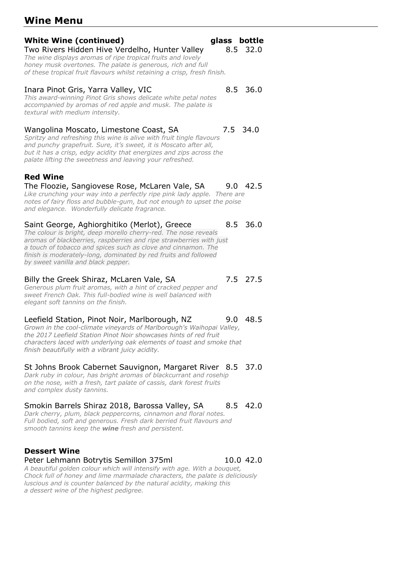## **Wine Menu**

## **White Wine (continued) glass bottle**

#### Two Rivers Hidden Hive Verdelho, Hunter Valley 8.5 32.0 *The wine displays aromas of ripe tropical fruits and lovely honey musk overtones. The palate is generous, rich and full*

*of these tropical fruit flavours whilst retaining a crisp, fresh finish.*

#### Inara Pinot Gris, Yarra Valley, VIC 8.5 36.0

*This award-winning Pinot Gris shows delicate white petal notes accompanied by aromas of red apple and musk. The palate is textural with medium intensity.*

#### Wangolina Moscato, Limestone Coast, SA 7.5 34.0

*Spritzy and refreshing this wine is alive with fruit tingle flavours and punchy grapefruit. Sure, it's sweet, it is Moscato after all, but it has a crisp, edgy acidity that energizes and zips across the palate lifting the sweetness and leaving your refreshed.*

## **Red Wine**

## The Floozie, Sangiovese Rose, McLaren Vale, SA 9.0 42.5

Like crunching your way into a perfectly ripe pink lady apple. There are *notes of fairy floss and bubble-gum, but not enough to upset the poise and elegance. Wonderfully delicate fragrance.*

#### Saint George, Aghiorghitiko (Merlot), Greece 8.5 36.0

*The colour is bright, deep morello cherry-red. The nose reveals aromas of blackberries, raspberries and ripe strawberries with just a touch of tobacco and spices such as clove and cinnamon. The finish is moderately-long, dominated by red fruits and followed by sweet vanilla and black pepper.*

#### Billy the Greek Shiraz, McLaren Vale, SA 7.5 27.5

*Generous plum fruit aromas, with a hint of cracked pepper and sweet French Oak. This full-bodied wine is well balanced with elegant soft tannins on the finish.*

### Leefield Station, Pinot Noir, Marlborough, NZ 9.0 48.5

*Grown in the cool-climate vineyards of Marlborough's Waihopai Valley, the 2017 Leefield Station Pinot Noir showcases hints of red fruit characters laced with underlying oak elements of toast and smoke that finish beautifully with a vibrant juicy acidity.*

#### St Johns Brook Cabernet Sauvignon, Margaret River 8.5 37.0 *Dark ruby in colour, has bright aromas of blackcurrant and rosehip*

*on the nose, with a fresh, tart palate of cassis, dark forest fruits and complex dusty tannins.*

### Smokin Barrels Shiraz 2018, Barossa Valley, SA 8.5 42.0

*Dark cherry, plum, black peppercorns, cinnamon and floral notes. Full bodied, soft and generous. Fresh dark berried fruit flavours and smooth tannins keep the wine fresh and persistent.*

### **Dessert Wine**

#### Peter Lehmann Botrytis Semillon 375ml 10.0 42.0 *A beautiful golden colour which will intensify with age. With a bouquet,*

*Chock full of honey and lime marmalade characters, the palate is deliciously luscious and is counter balanced by the natural acidity, making this a dessert wine of the highest pedigree.*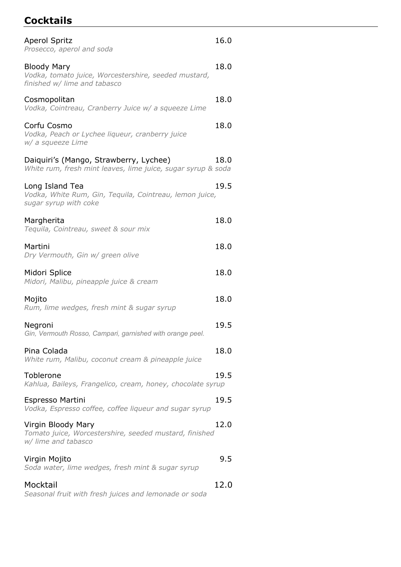# **Cocktails**

| <b>Aperol Spritz</b><br>Prosecco, aperol and soda                                                          | 16.0 |
|------------------------------------------------------------------------------------------------------------|------|
| <b>Bloody Mary</b><br>Vodka, tomato juice, Worcestershire, seeded mustard,<br>finished w/ lime and tabasco | 18.0 |
| Cosmopolitan<br>Vodka, Cointreau, Cranberry Juice w/ a squeeze Lime                                        | 18.0 |
| Corfu Cosmo<br>Vodka, Peach or Lychee liqueur, cranberry juice<br>w/ a squeeze Lime                        | 18.0 |
| Daiquiri's (Mango, Strawberry, Lychee)<br>White rum, fresh mint leaves, lime juice, sugar syrup & soda     | 18.0 |
| Long Island Tea<br>Vodka, White Rum, Gin, Tequila, Cointreau, lemon juice,<br>sugar syrup with coke        | 19.5 |
| Margherita<br>Tequila, Cointreau, sweet & sour mix                                                         | 18.0 |
| Martini<br>Dry Vermouth, Gin w/ green olive                                                                | 18.0 |
| Midori Splice<br>Midori, Malibu, pineapple juice & cream                                                   | 18.0 |
| Mojito<br>Rum, lime wedges, fresh mint & sugar syrup                                                       | 18.0 |
| Negroni<br>Gin, Vermouth Rosso, Campari, garnished with orange peel.                                       | 19.5 |
| Pina Colada<br>White rum, Malibu, coconut cream & pineapple juice                                          | 18.0 |
| Toblerone<br>Kahlua, Baileys, Frangelico, cream, honey, chocolate syrup                                    | 19.5 |
| Espresso Martini<br>Vodka, Espresso coffee, coffee liqueur and sugar syrup                                 | 19.5 |
| Virgin Bloody Mary<br>Tomato juice, Worcestershire, seeded mustard, finished<br>w/ lime and tabasco        | 12.0 |
| Virgin Mojito<br>Soda water, lime wedges, fresh mint & sugar syrup                                         | 9.5  |
| Mocktail<br>Seasonal fruit with fresh juices and lemonade or soda                                          | 12.0 |